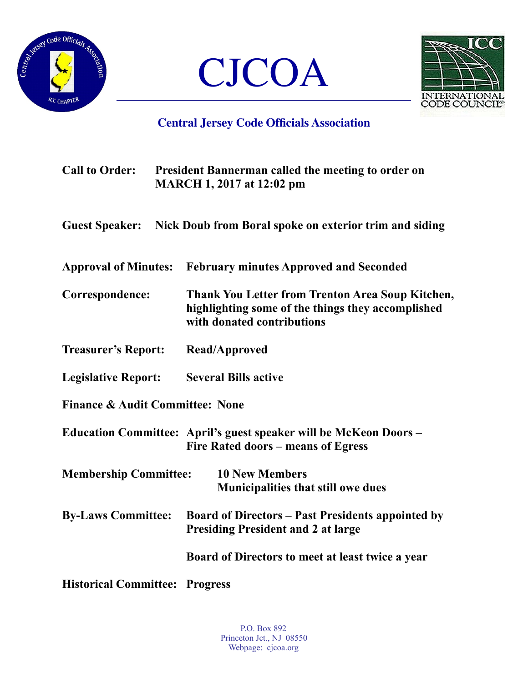





## **Central Jersey Code Officials Association**

| <b>Call to Order:</b>                      | <b>President Bannerman called the meeting to order on</b><br><b>MARCH 1, 2017 at 12:02 pm</b>                                       |  |  |
|--------------------------------------------|-------------------------------------------------------------------------------------------------------------------------------------|--|--|
| <b>Guest Speaker:</b>                      | Nick Doub from Boral spoke on exterior trim and siding                                                                              |  |  |
|                                            | Approval of Minutes: February minutes Approved and Seconded                                                                         |  |  |
| Correspondence:                            | Thank You Letter from Trenton Area Soup Kitchen,<br>highlighting some of the things they accomplished<br>with donated contributions |  |  |
| <b>Treasurer's Report:</b>                 | <b>Read/Approved</b>                                                                                                                |  |  |
| <b>Legislative Report:</b>                 | <b>Several Bills active</b>                                                                                                         |  |  |
| <b>Finance &amp; Audit Committee: None</b> |                                                                                                                                     |  |  |
|                                            | Education Committee: April's guest speaker will be McKeon Doors –<br>Fire Rated doors – means of Egress                             |  |  |
| <b>Membership Committee:</b>               | <b>10 New Members</b><br><b>Municipalities that still owe dues</b>                                                                  |  |  |
| <b>By-Laws Committee:</b>                  | <b>Board of Directors – Past Presidents appointed by</b><br><b>Presiding President and 2 at large</b>                               |  |  |
|                                            | Board of Directors to meet at least twice a year                                                                                    |  |  |
| <b>Historical Committee: Progress</b>      |                                                                                                                                     |  |  |

P.O. Box 892 Princeton Jct., NJ 08550 Webpage: cjcoa.org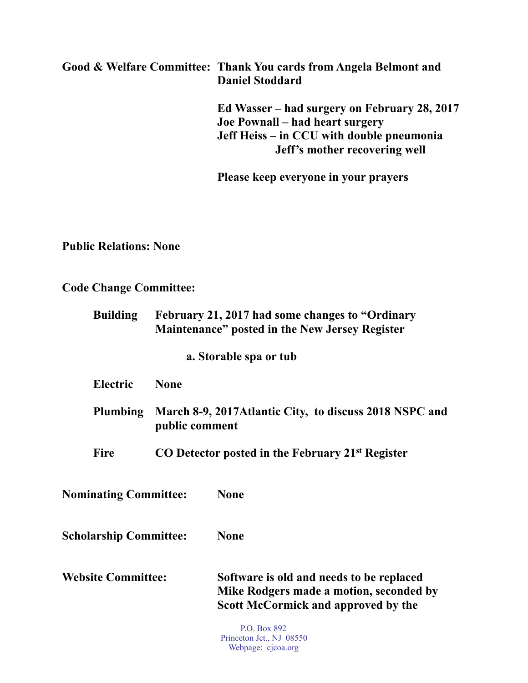## **Good & Welfare Committee: Thank You cards from Angela Belmont and Daniel Stoddard**

 **Ed Wasser – had surgery on February 28, 2017 Joe Pownall – had heart surgery Jeff Heiss – in CCU with double pneumonia Jeff's mother recovering well** 

 **Please keep everyone in your prayers** 

**Public Relations: None** 

**Code Change Committee:** 

| <b>Building</b>               |                | February 21, 2017 had some changes to "Ordinary"<br>Maintenance" posted in the New Jersey Register                         |
|-------------------------------|----------------|----------------------------------------------------------------------------------------------------------------------------|
|                               |                | a. Storable spa or tub                                                                                                     |
| <b>Electric</b>               | <b>None</b>    |                                                                                                                            |
| Plumbing                      | public comment | March 8-9, 2017 Atlantic City, to discuss 2018 NSPC and                                                                    |
| Fire                          |                | CO Detector posted in the February 21 <sup>st</sup> Register                                                               |
| <b>Nominating Committee:</b>  |                | <b>None</b>                                                                                                                |
| <b>Scholarship Committee:</b> |                | <b>None</b>                                                                                                                |
| <b>Website Committee:</b>     |                | Software is old and needs to be replaced<br>Mike Rodgers made a motion, seconded by<br>Scott McCormick and approved by the |
|                               |                | $\mathbf{D} \cap \mathbf{D}$ 000                                                                                           |

P.O. Box 892 Princeton Jct., NJ 08550 Webpage: cjcoa.org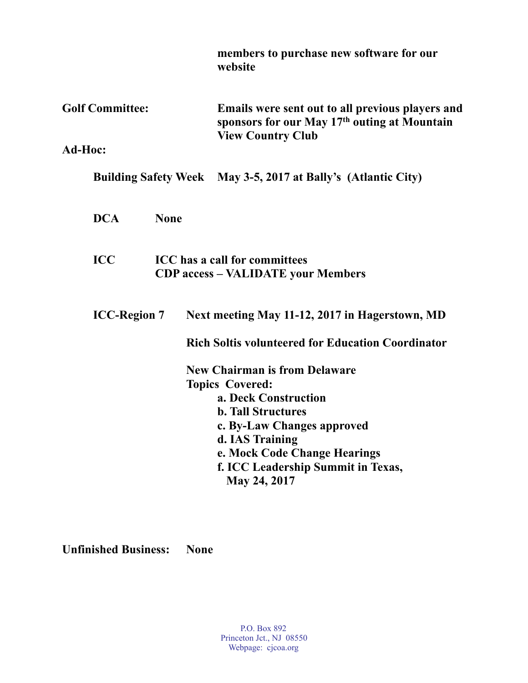|                        |             | members to purchase new software for our<br>website                                                                                                                                                                                                        |
|------------------------|-------------|------------------------------------------------------------------------------------------------------------------------------------------------------------------------------------------------------------------------------------------------------------|
| <b>Golf Committee:</b> |             | Emails were sent out to all previous players and<br>sponsors for our May 17 <sup>th</sup> outing at Mountain<br><b>View Country Club</b>                                                                                                                   |
| Ad-Hoc:                |             |                                                                                                                                                                                                                                                            |
|                        |             | Building Safety Week May 3-5, 2017 at Bally's (Atlantic City)                                                                                                                                                                                              |
| <b>DCA</b>             | <b>None</b> |                                                                                                                                                                                                                                                            |
| <b>ICC</b>             |             | <b>ICC</b> has a call for committees<br><b>CDP access - VALIDATE your Members</b>                                                                                                                                                                          |
| <b>ICC-Region 7</b>    |             | Next meeting May 11-12, 2017 in Hagerstown, MD                                                                                                                                                                                                             |
|                        |             | <b>Rich Soltis volunteered for Education Coordinator</b>                                                                                                                                                                                                   |
|                        |             | <b>New Chairman is from Delaware</b><br><b>Topics Covered:</b><br>a. Deck Construction<br><b>b. Tall Structures</b><br>c. By-Law Changes approved<br>d. IAS Training<br>e. Mock Code Change Hearings<br>f. ICC Leadership Summit in Texas,<br>May 24, 2017 |

**Unfinished Business: None**